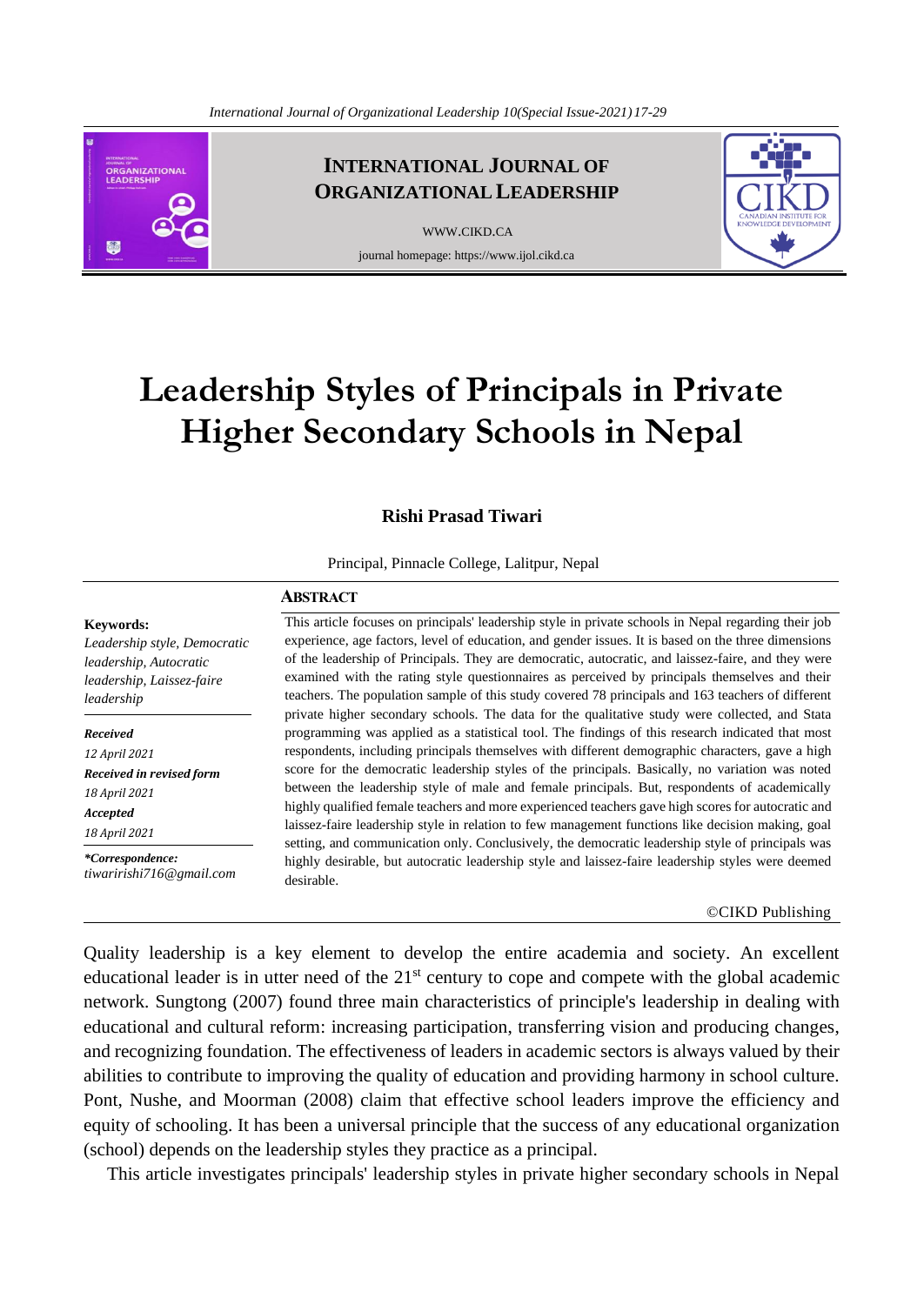**ORGANIZATIONAL** EADERSHIP de

**INTERNATIONAL JOURNAL OF ORGANIZATIONAL LEADERSHIP**

> [WWW](http://www.cikd.ca/).CIKD.CA journal homepage: https://www.ijol.cikd.ca



# **Leadership Styles of Principals in Private Higher Secondary Schools in Nepal**

### **Rishi Prasad Tiwari**

Principal, Pinnacle College, Lalitpur, Nepal

#### **ABSTRACT**

**Keywords:** 

*Leadership style, Democratic leadership, Autocratic leadership, Laissez-faire leadership*

*Received*

*12 April 2021 Received in revised form 18 April 2021 Accepted*

*18 April 2021*

*\*Correspondence: tiwaririshi716@gmail.com*  This article focuses on principals' leadership style in private schools in Nepal regarding their job experience, age factors, level of education, and gender issues. It is based on the three dimensions of the leadership of Principals. They are democratic, autocratic, and laissez-faire, and they were examined with the rating style questionnaires as perceived by principals themselves and their teachers. The population sample of this study covered 78 principals and 163 teachers of different private higher secondary schools. The data for the qualitative study were collected, and Stata programming was applied as a statistical tool. The findings of this research indicated that most respondents, including principals themselves with different demographic characters, gave a high score for the democratic leadership styles of the principals. Basically, no variation was noted between the leadership style of male and female principals. But, respondents of academically highly qualified female teachers and more experienced teachers gave high scores for autocratic and laissez-faire leadership style in relation to few management functions like decision making, goal setting, and communication only. Conclusively, the democratic leadership style of principals was highly desirable, but autocratic leadership style and laissez-faire leadership styles were deemed desirable.

#### ©CIKD Publishing

Quality leadership is a key element to develop the entire academia and society. An excellent educational leader is in utter need of the  $21<sup>st</sup>$  century to cope and compete with the global academic network. Sungtong (2007) found three main characteristics of principle's leadership in dealing with educational and cultural reform: increasing participation, transferring vision and producing changes, and recognizing foundation. The effectiveness of leaders in academic sectors is always valued by their abilities to contribute to improving the quality of education and providing harmony in school culture. Pont, Nushe, and Moorman (2008) claim that effective school leaders improve the efficiency and equity of schooling. It has been a universal principle that the success of any educational organization (school) depends on the leadership styles they practice as a principal.

This article investigates principals' leadership styles in private higher secondary schools in Nepal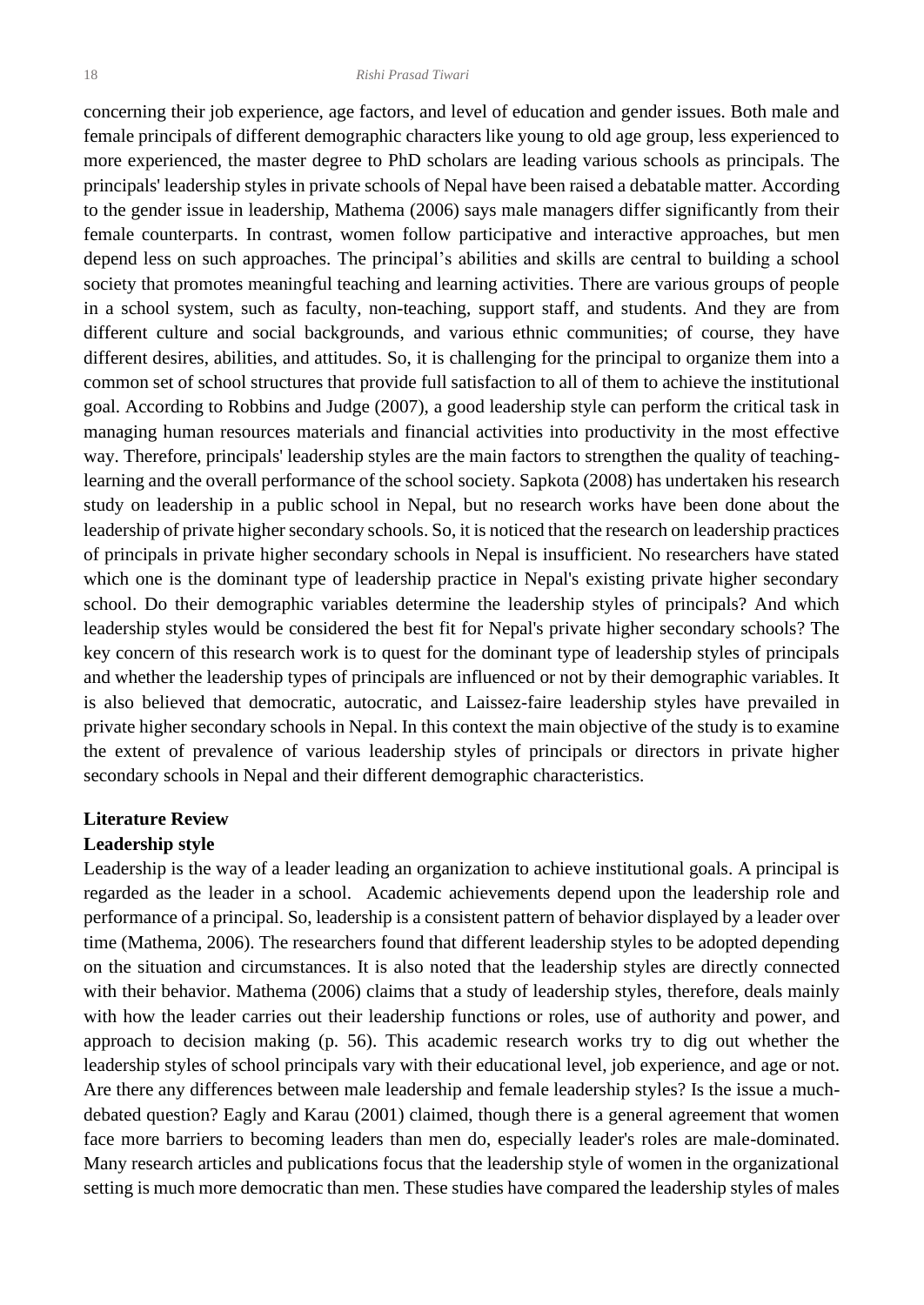concerning their job experience, age factors, and level of education and gender issues. Both male and female principals of different demographic characters like young to old age group, less experienced to more experienced, the master degree to PhD scholars are leading various schools as principals. The principals' leadership styles in private schools of Nepal have been raised a debatable matter. According to the gender issue in leadership, Mathema (2006) says male managers differ significantly from their female counterparts. In contrast, women follow participative and interactive approaches, but men depend less on such approaches. The principal's abilities and skills are central to building a school society that promotes meaningful teaching and learning activities. There are various groups of people in a school system, such as faculty, non-teaching, support staff, and students. And they are from different culture and social backgrounds, and various ethnic communities; of course, they have different desires, abilities, and attitudes. So, it is challenging for the principal to organize them into a common set of school structures that provide full satisfaction to all of them to achieve the institutional goal. According to Robbins and Judge (2007), a good leadership style can perform the critical task in managing human resources materials and financial activities into productivity in the most effective way. Therefore, principals' leadership styles are the main factors to strengthen the quality of teachinglearning and the overall performance of the school society. Sapkota (2008) has undertaken his research study on leadership in a public school in Nepal, but no research works have been done about the leadership of private higher secondary schools. So, it is noticed that the research on leadership practices of principals in private higher secondary schools in Nepal is insufficient. No researchers have stated which one is the dominant type of leadership practice in Nepal's existing private higher secondary school. Do their demographic variables determine the leadership styles of principals? And which leadership styles would be considered the best fit for Nepal's private higher secondary schools? The key concern of this research work is to quest for the dominant type of leadership styles of principals and whether the leadership types of principals are influenced or not by their demographic variables. It is also believed that democratic, autocratic, and Laissez-faire leadership styles have prevailed in private higher secondary schools in Nepal. In this context the main objective of the study is to examine the extent of prevalence of various leadership styles of principals or directors in private higher secondary schools in Nepal and their different demographic characteristics.

### **Literature Review**

### **Leadership style**

Leadership is the way of a leader leading an organization to achieve institutional goals. A principal is regarded as the leader in a school. Academic achievements depend upon the leadership role and performance of a principal. So, leadership is a consistent pattern of behavior displayed by a leader over time (Mathema, 2006). The researchers found that different leadership styles to be adopted depending on the situation and circumstances. It is also noted that the leadership styles are directly connected with their behavior. Mathema (2006) claims that a study of leadership styles, therefore, deals mainly with how the leader carries out their leadership functions or roles, use of authority and power, and approach to decision making (p. 56). This academic research works try to dig out whether the leadership styles of school principals vary with their educational level, job experience, and age or not. Are there any differences between male leadership and female leadership styles? Is the issue a muchdebated question? Eagly and Karau (2001) claimed, though there is a general agreement that women face more barriers to becoming leaders than men do, especially leader's roles are male-dominated. Many research articles and publications focus that the leadership style of women in the organizational setting is much more democratic than men. These studies have compared the leadership styles of males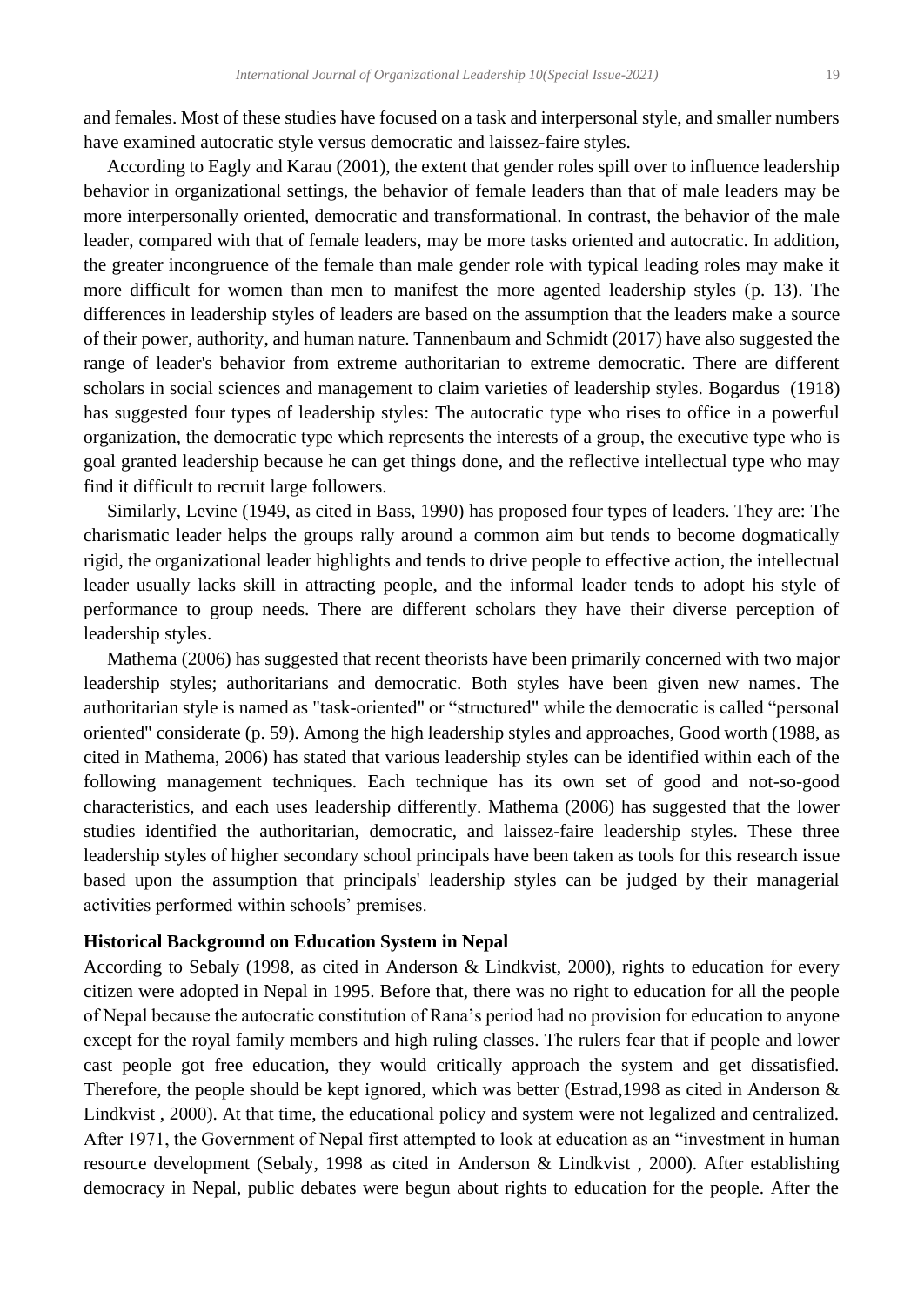and females. Most of these studies have focused on a task and interpersonal style, and smaller numbers have examined autocratic style versus democratic and laissez-faire styles.

 According to Eagly and Karau (2001), the extent that gender roles spill over to influence leadership behavior in organizational settings, the behavior of female leaders than that of male leaders may be more interpersonally oriented, democratic and transformational. In contrast, the behavior of the male leader, compared with that of female leaders, may be more tasks oriented and autocratic. In addition, the greater incongruence of the female than male gender role with typical leading roles may make it more difficult for women than men to manifest the more agented leadership styles (p. 13). The differences in leadership styles of leaders are based on the assumption that the leaders make a source of their power, authority, and human nature. Tannenbaum and Schmidt (2017) have also suggested the range of leader's behavior from extreme authoritarian to extreme democratic. There are different scholars in social sciences and management to claim varieties of leadership styles. Bogardus (1918) has suggested four types of leadership styles: The autocratic type who rises to office in a powerful organization, the democratic type which represents the interests of a group, the executive type who is goal granted leadership because he can get things done, and the reflective intellectual type who may find it difficult to recruit large followers.

 Similarly, Levine (1949, as cited in Bass, 1990) has proposed four types of leaders. They are: The charismatic leader helps the groups rally around a common aim but tends to become dogmatically rigid, the organizational leader highlights and tends to drive people to effective action, the intellectual leader usually lacks skill in attracting people, and the informal leader tends to adopt his style of performance to group needs. There are different scholars they have their diverse perception of leadership styles.

 Mathema (2006) has suggested that recent theorists have been primarily concerned with two major leadership styles; authoritarians and democratic. Both styles have been given new names. The authoritarian style is named as "task-oriented" or "structured" while the democratic is called "personal oriented" considerate (p. 59). Among the high leadership styles and approaches, Good worth (1988, as cited in Mathema, 2006) has stated that various leadership styles can be identified within each of the following management techniques. Each technique has its own set of good and not-so-good characteristics, and each uses leadership differently. Mathema (2006) has suggested that the lower studies identified the authoritarian, democratic, and laissez-faire leadership styles. These three leadership styles of higher secondary school principals have been taken as tools for this research issue based upon the assumption that principals' leadership styles can be judged by their managerial activities performed within schools' premises.

### **Historical Background on Education System in Nepal**

According to Sebaly (1998, as cited in Anderson & Lindkvist, 2000), rights to education for every citizen were adopted in Nepal in 1995. Before that, there was no right to education for all the people of Nepal because the autocratic constitution of Rana's period had no provision for education to anyone except for the royal family members and high ruling classes. The rulers fear that if people and lower cast people got free education, they would critically approach the system and get dissatisfied. Therefore, the people should be kept ignored, which was better (Estrad,1998 as cited in Anderson & Lindkvist , 2000). At that time, the educational policy and system were not legalized and centralized. After 1971, the Government of Nepal first attempted to look at education as an "investment in human resource development (Sebaly, 1998 as cited in Anderson & Lindkvist , 2000). After establishing democracy in Nepal, public debates were begun about rights to education for the people. After the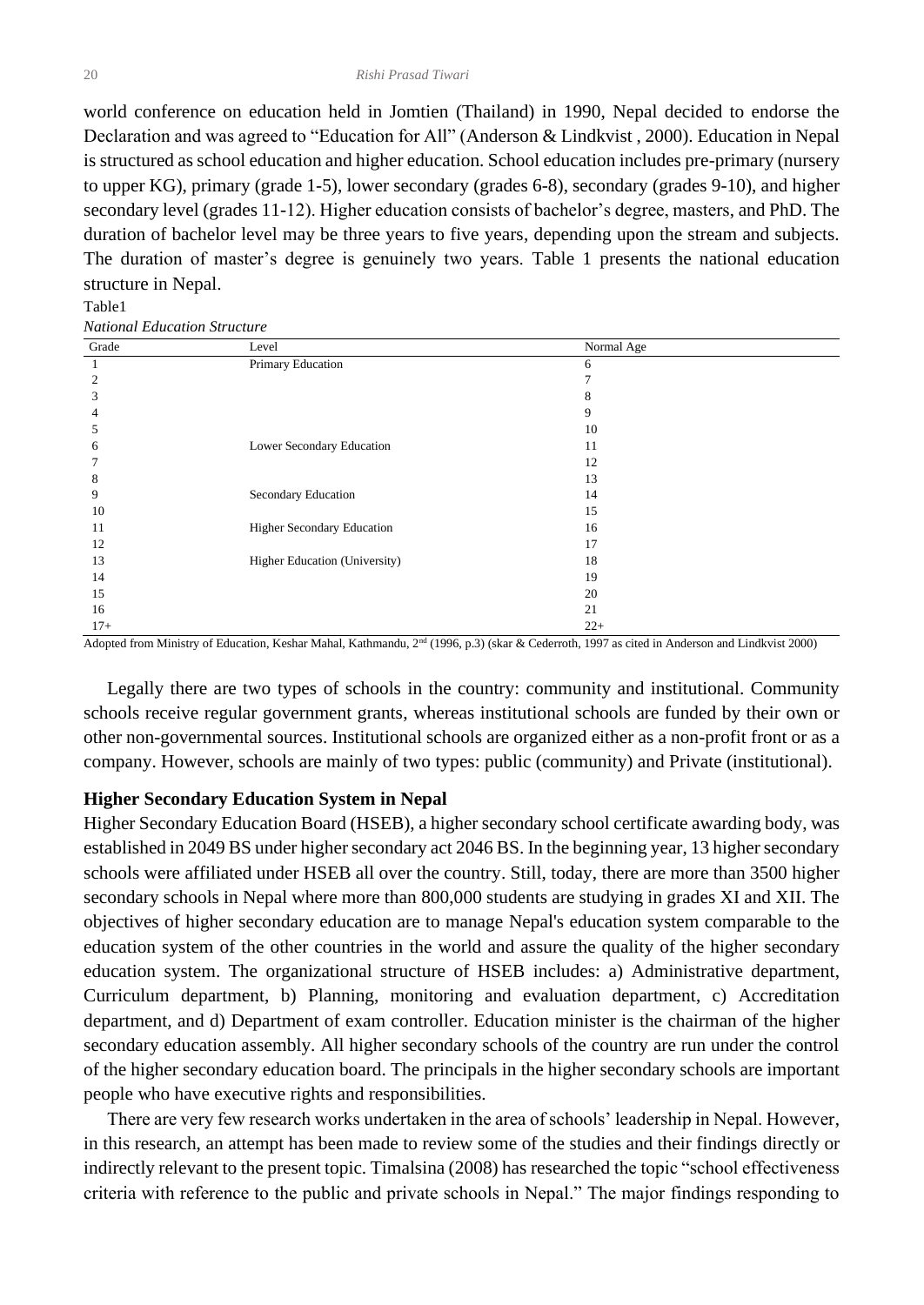world conference on education held in Jomtien (Thailand) in 1990, Nepal decided to endorse the Declaration and was agreed to "Education for All" (Anderson & Lindkvist , 2000). Education in Nepal is structured as school education and higher education. School education includes pre-primary (nursery to upper KG), primary (grade 1-5), lower secondary (grades 6-8), secondary (grades 9-10), and higher secondary level (grades 11-12). Higher education consists of bachelor's degree, masters, and PhD. The duration of bachelor level may be three years to five years, depending upon the stream and subjects. The duration of master's degree is genuinely two years. Table 1 presents the national education structure in Nepal.

#### Table1

*National Education Structure*

| Grade | Level                         | Normal Age |
|-------|-------------------------------|------------|
|       | Primary Education             | 6          |
| 2     |                               |            |
| 3     |                               | 8          |
| 4     |                               | 9          |
| 5     |                               | 10         |
| 6     | Lower Secondary Education     | 11         |
|       |                               | 12         |
| 8     |                               | 13         |
| 9     | Secondary Education           | 14         |
| 10    |                               | 15         |
| 11    | Higher Secondary Education    | 16         |
| 12    |                               | 17         |
| 13    | Higher Education (University) | 18         |
| 14    |                               | 19         |
| 15    |                               | 20         |
| 16    |                               | 21         |
| $17+$ |                               | $22+$      |

Adopted from Ministry of Education, Keshar Mahal, Kathmandu, 2nd (1996, p.3) (skar & Cederroth, 1997 as cited in Anderson and Lindkvist 2000)

 Legally there are two types of schools in the country: community and institutional. Community schools receive regular government grants, whereas institutional schools are funded by their own or other non-governmental sources. Institutional schools are organized either as a non-profit front or as a company. However, schools are mainly of two types: public (community) and Private (institutional).

### **Higher Secondary Education System in Nepal**

Higher Secondary Education Board (HSEB), a higher secondary school certificate awarding body, was established in 2049 BS under higher secondary act 2046 BS. In the beginning year, 13 higher secondary schools were affiliated under HSEB all over the country. Still, today, there are more than 3500 higher secondary schools in Nepal where more than 800,000 students are studying in grades XI and XII. The objectives of higher secondary education are to manage Nepal's education system comparable to the education system of the other countries in the world and assure the quality of the higher secondary education system. The organizational structure of HSEB includes: a) Administrative department, Curriculum department, b) Planning, monitoring and evaluation department, c) Accreditation department, and d) Department of exam controller. Education minister is the chairman of the higher secondary education assembly. All higher secondary schools of the country are run under the control of the higher secondary education board. The principals in the higher secondary schools are important people who have executive rights and responsibilities.

 There are very few research works undertaken in the area of schools' leadership in Nepal. However, in this research, an attempt has been made to review some of the studies and their findings directly or indirectly relevant to the present topic. Timalsina (2008) has researched the topic "school effectiveness criteria with reference to the public and private schools in Nepal." The major findings responding to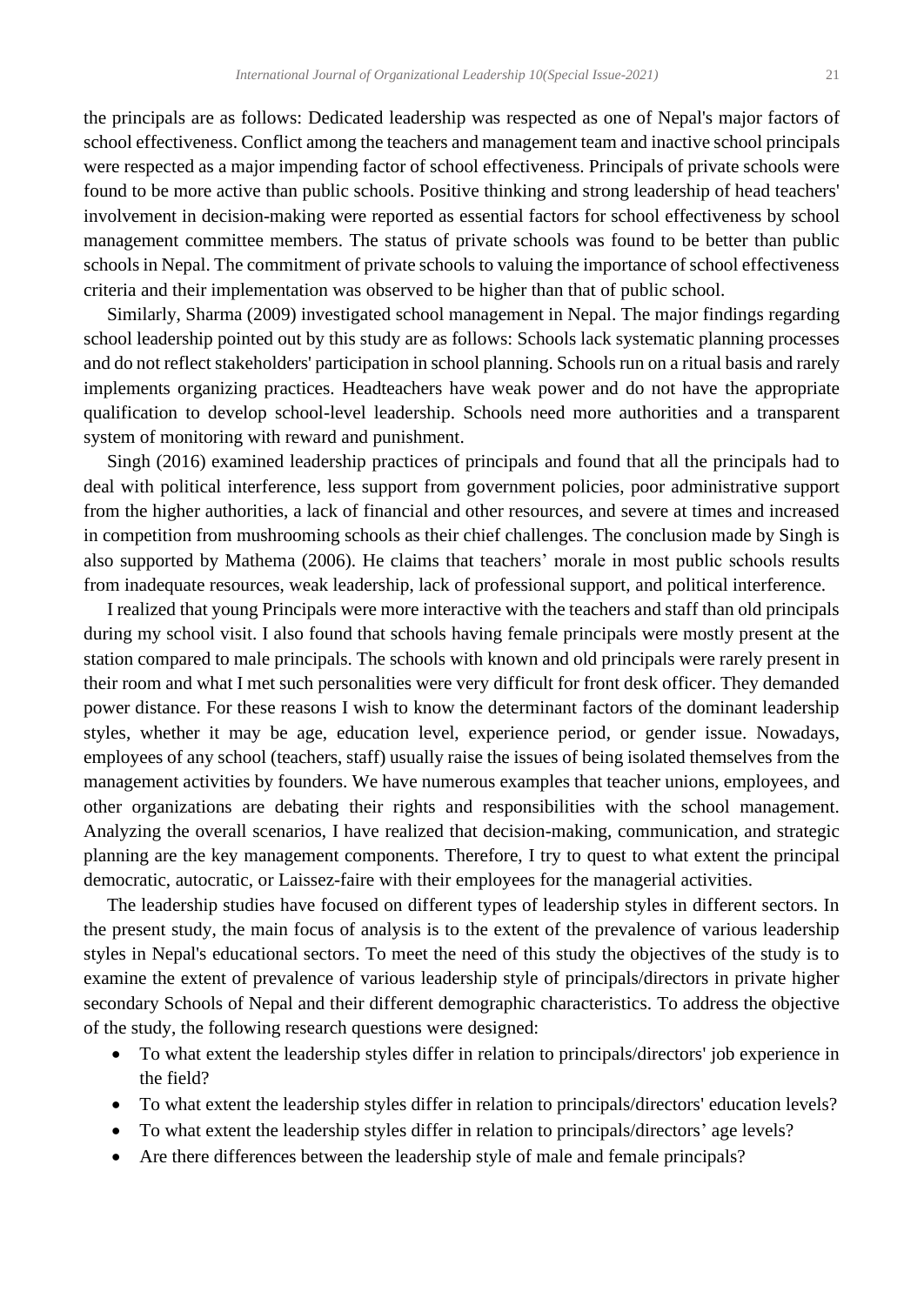the principals are as follows: Dedicated leadership was respected as one of Nepal's major factors of school effectiveness. Conflict among the teachers and management team and inactive school principals were respected as a major impending factor of school effectiveness. Principals of private schools were found to be more active than public schools. Positive thinking and strong leadership of head teachers' involvement in decision-making were reported as essential factors for school effectiveness by school management committee members. The status of private schools was found to be better than public schools in Nepal. The commitment of private schools to valuing the importance of school effectiveness criteria and their implementation was observed to be higher than that of public school.

 Similarly, Sharma (2009) investigated school management in Nepal. The major findings regarding school leadership pointed out by this study are as follows: Schools lack systematic planning processes and do not reflect stakeholders' participation in school planning. Schools run on a ritual basis and rarely implements organizing practices. Headteachers have weak power and do not have the appropriate qualification to develop school-level leadership. Schools need more authorities and a transparent system of monitoring with reward and punishment.

 Singh (2016) examined leadership practices of principals and found that all the principals had to deal with political interference, less support from government policies, poor administrative support from the higher authorities, a lack of financial and other resources, and severe at times and increased in competition from mushrooming schools as their chief challenges. The conclusion made by Singh is also supported by Mathema (2006). He claims that teachers' morale in most public schools results from inadequate resources, weak leadership, lack of professional support, and political interference.

 I realized that young Principals were more interactive with the teachers and staff than old principals during my school visit. I also found that schools having female principals were mostly present at the station compared to male principals. The schools with known and old principals were rarely present in their room and what I met such personalities were very difficult for front desk officer. They demanded power distance. For these reasons I wish to know the determinant factors of the dominant leadership styles, whether it may be age, education level, experience period, or gender issue. Nowadays, employees of any school (teachers, staff) usually raise the issues of being isolated themselves from the management activities by founders. We have numerous examples that teacher unions, employees, and other organizations are debating their rights and responsibilities with the school management. Analyzing the overall scenarios, I have realized that decision-making, communication, and strategic planning are the key management components. Therefore, I try to quest to what extent the principal democratic, autocratic, or Laissez-faire with their employees for the managerial activities.

 The leadership studies have focused on different types of leadership styles in different sectors. In the present study, the main focus of analysis is to the extent of the prevalence of various leadership styles in Nepal's educational sectors. To meet the need of this study the objectives of the study is to examine the extent of prevalence of various leadership style of principals/directors in private higher secondary Schools of Nepal and their different demographic characteristics. To address the objective of the study, the following research questions were designed:

- To what extent the leadership styles differ in relation to principals/directors' job experience in the field?
- To what extent the leadership styles differ in relation to principals/directors' education levels?
- To what extent the leadership styles differ in relation to principals/directors' age levels?
- Are there differences between the leadership style of male and female principals?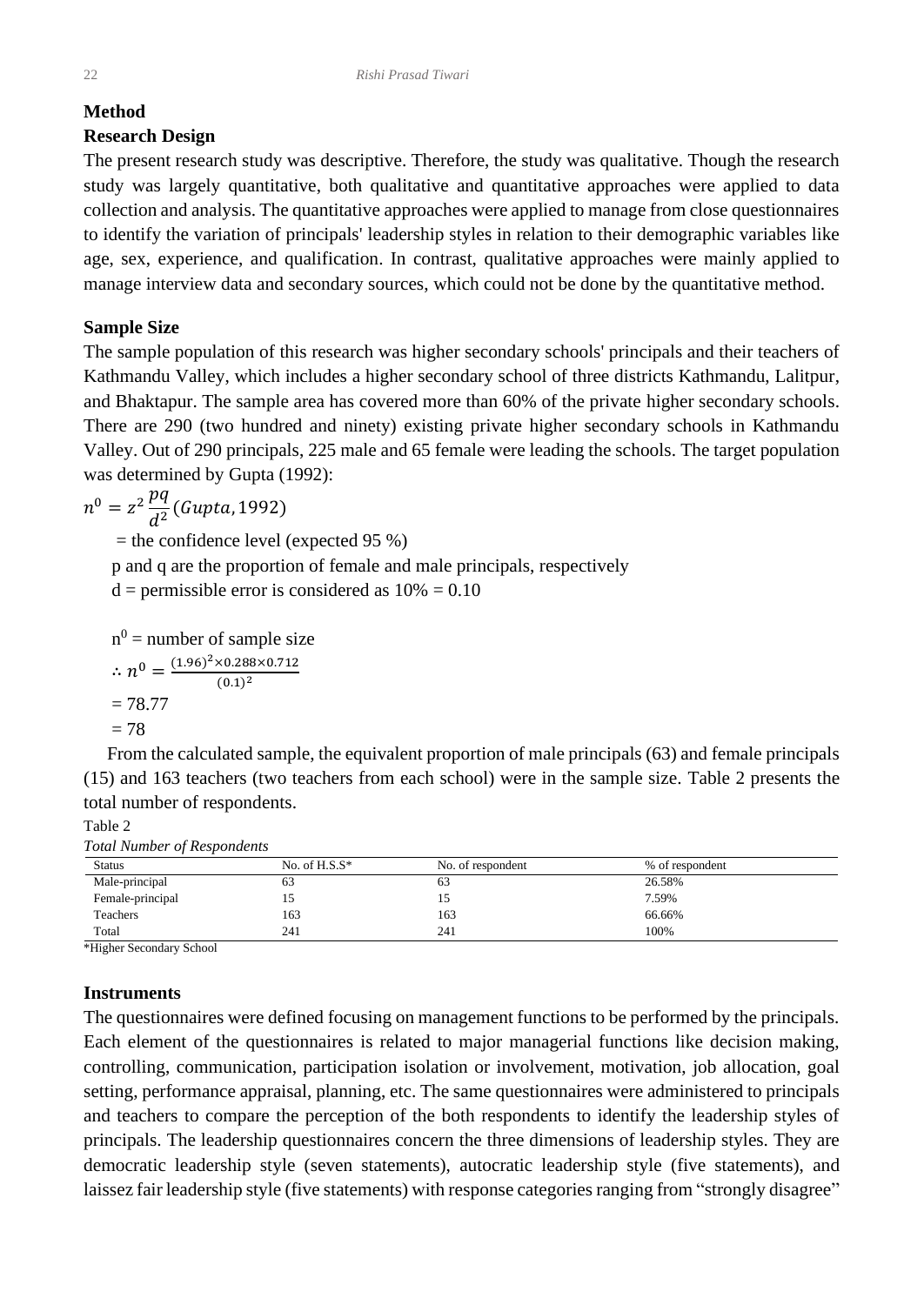# **Method**

# **Research Design**

The present research study was descriptive. Therefore, the study was qualitative. Though the research study was largely quantitative, both qualitative and quantitative approaches were applied to data collection and analysis. The quantitative approaches were applied to manage from close questionnaires to identify the variation of principals' leadership styles in relation to their demographic variables like age, sex, experience, and qualification. In contrast, qualitative approaches were mainly applied to manage interview data and secondary sources, which could not be done by the quantitative method.

# **Sample Size**

The sample population of this research was higher secondary schools' principals and their teachers of Kathmandu Valley, which includes a higher secondary school of three districts Kathmandu, Lalitpur, and Bhaktapur. The sample area has covered more than 60% of the private higher secondary schools. There are 290 (two hundred and ninety) existing private higher secondary schools in Kathmandu Valley. Out of 290 principals, 225 male and 65 female were leading the schools. The target population was determined by Gupta (1992):

$$
n^0 = z^2 \frac{pq}{d^2} (Gupta, 1992)
$$

 $=$  the confidence level (expected 95 %)

p and q are the proportion of female and male principals, respectively

 $d =$  permissible error is considered as  $10\% = 0.10$ 

n<sup>0</sup> = number of sample size  
\n
$$
\therefore n^0 = \frac{(1.96)^2 \times 0.288 \times 0.712}{(0.1)^2}
$$
\n= 78.77  
\n= 78

 From the calculated sample, the equivalent proportion of male principals (63) and female principals (15) and 163 teachers (two teachers from each school) were in the sample size. Table 2 presents the total number of respondents.

### Table 2

*Total Number of Respondents*

| <b>Status</b>    | No. of $H.S.S^*$ | No. of respondent | % of respondent |
|------------------|------------------|-------------------|-----------------|
| Male-principal   | ხა               | 03                | 26.58%          |
| Female-principal | L5               |                   | 7.59%           |
| Teachers         | 163              | 163               | 66.66%          |
| Total            | 241              | 241               | 100%            |

\*Higher Secondary School

### **Instruments**

The questionnaires were defined focusing on management functions to be performed by the principals. Each element of the questionnaires is related to major managerial functions like decision making, controlling, communication, participation isolation or involvement, motivation, job allocation, goal setting, performance appraisal, planning, etc. The same questionnaires were administered to principals and teachers to compare the perception of the both respondents to identify the leadership styles of principals. The leadership questionnaires concern the three dimensions of leadership styles. They are democratic leadership style (seven statements), autocratic leadership style (five statements), and laissez fair leadership style (five statements) with response categories ranging from "strongly disagree"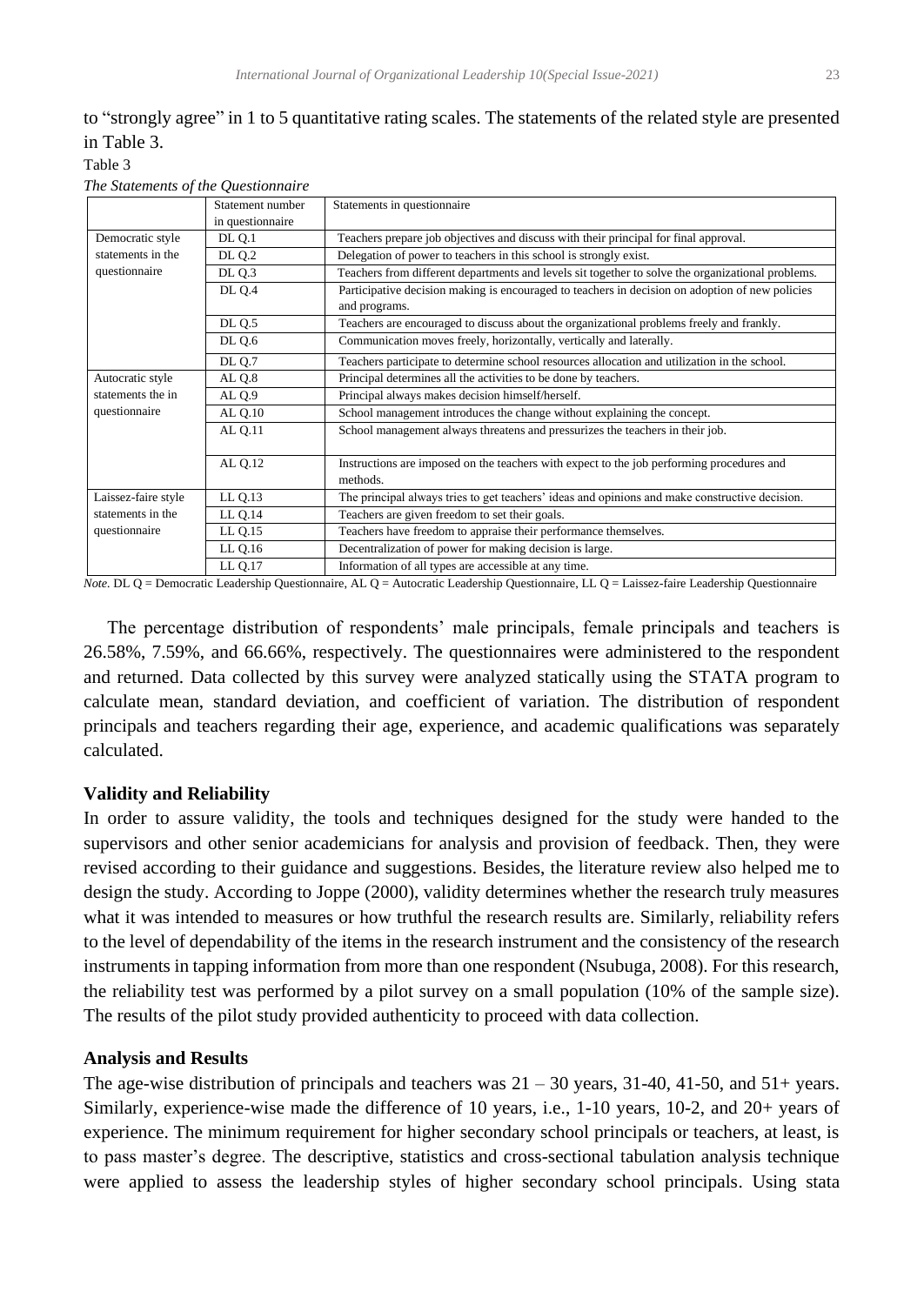# to "strongly agree" in 1 to 5 quantitative rating scales. The statements of the related style are presented in Table 3.

Table 3

|                     | Statement number   | Statements in questionnaire                                                                       |
|---------------------|--------------------|---------------------------------------------------------------------------------------------------|
|                     | in questionnaire   |                                                                                                   |
| Democratic style    | <b>DL Q.1</b>      | Teachers prepare job objectives and discuss with their principal for final approval.              |
| statements in the   | DL Q.2             | Delegation of power to teachers in this school is strongly exist.                                 |
| questionnaire       | DL Q.3             | Teachers from different departments and levels sit together to solve the organizational problems. |
|                     | <b>DL 0.4</b>      | Participative decision making is encouraged to teachers in decision on adoption of new policies   |
|                     |                    | and programs.                                                                                     |
|                     | DL Q.5             | Teachers are encouraged to discuss about the organizational problems freely and frankly.          |
|                     | DL Q.6             | Communication moves freely, horizontally, vertically and laterally.                               |
|                     | <b>DL Q.7</b>      | Teachers participate to determine school resources allocation and utilization in the school.      |
| Autocratic style    | AL <sub>Q</sub> .8 | Principal determines all the activities to be done by teachers.                                   |
| statements the in   | AL Q.9             | Principal always makes decision himself/herself.                                                  |
| questionnaire       | AL Q.10            | School management introduces the change without explaining the concept.                           |
|                     | <b>AL Q.11</b>     | School management always threatens and pressurizes the teachers in their job.                     |
|                     |                    |                                                                                                   |
|                     | AL Q.12            | Instructions are imposed on the teachers with expect to the job performing procedures and         |
|                     |                    | methods.                                                                                          |
| Laissez-faire style | LLQ.13             | The principal always tries to get teachers' ideas and opinions and make constructive decision.    |
| statements in the   | LL Q.14            | Teachers are given freedom to set their goals.                                                    |
| questionnaire       | LL Q.15            | Teachers have freedom to appraise their performance themselves.                                   |
|                     | $LL$ Q.16          | Decentralization of power for making decision is large.                                           |
|                     | LL Q.17            | Information of all types are accessible at any time.                                              |

*The Statements of the Questionnaire*

*Note.* DL Q = Democratic Leadership Questionnaire, AL Q = Autocratic Leadership Questionnaire, LL Q = Laissez-faire Leadership Questionnaire

 The percentage distribution of respondents' male principals, female principals and teachers is 26.58%, 7.59%, and 66.66%, respectively. The questionnaires were administered to the respondent and returned. Data collected by this survey were analyzed statically using the STATA program to calculate mean, standard deviation, and coefficient of variation. The distribution of respondent principals and teachers regarding their age, experience, and academic qualifications was separately calculated.

### **Validity and Reliability**

In order to assure validity, the tools and techniques designed for the study were handed to the supervisors and other senior academicians for analysis and provision of feedback. Then, they were revised according to their guidance and suggestions. Besides, the literature review also helped me to design the study. According to Joppe (2000), validity determines whether the research truly measures what it was intended to measures or how truthful the research results are. Similarly, reliability refers to the level of dependability of the items in the research instrument and the consistency of the research instruments in tapping information from more than one respondent (Nsubuga, 2008). For this research, the reliability test was performed by a pilot survey on a small population (10% of the sample size). The results of the pilot study provided authenticity to proceed with data collection.

### **Analysis and Results**

The age-wise distribution of principals and teachers was  $21 - 30$  years,  $31-40$ ,  $41-50$ , and  $51+$  years. Similarly, experience-wise made the difference of 10 years, i.e., 1-10 years, 10-2, and 20+ years of experience. The minimum requirement for higher secondary school principals or teachers, at least, is to pass master's degree. The descriptive, statistics and cross-sectional tabulation analysis technique were applied to assess the leadership styles of higher secondary school principals. Using stata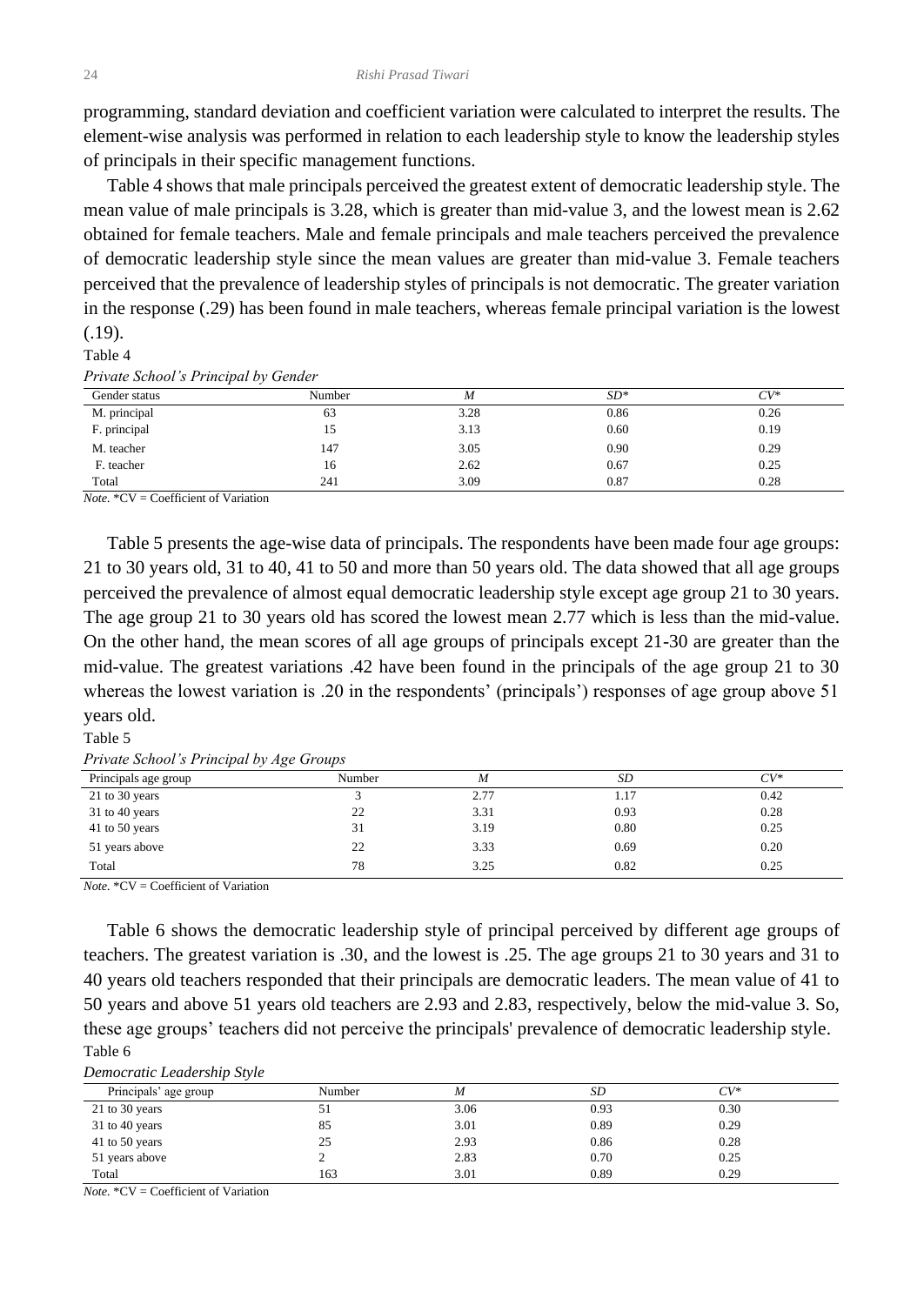programming, standard deviation and coefficient variation were calculated to interpret the results. The element-wise analysis was performed in relation to each leadership style to know the leadership styles of principals in their specific management functions.

 Table 4 shows that male principals perceived the greatest extent of democratic leadership style. The mean value of male principals is 3.28, which is greater than mid-value 3, and the lowest mean is 2.62 obtained for female teachers. Male and female principals and male teachers perceived the prevalence of democratic leadership style since the mean values are greater than mid-value 3. Female teachers perceived that the prevalence of leadership styles of principals is not democratic. The greater variation in the response (.29) has been found in male teachers, whereas female principal variation is the lowest (.19).

#### Table 4

*Private School's Principal by Gender*

| Gender status | Number | M    | $SD*$ | $CV^*$ |
|---------------|--------|------|-------|--------|
| M. principal  | 63     | 3.28 | 0.86  | 0.26   |
| F. principal  | 15     | 3.13 | 0.60  | 0.19   |
| M. teacher    | 147    | 3.05 | 0.90  | 0.29   |
| F. teacher    | 16     | 2.62 | 0.67  | 0.25   |
| Total         | 241    | 3.09 | 0.87  | 0.28   |

*Note.* \*CV = Coefficient of Variation

 Table 5 presents the age-wise data of principals. The respondents have been made four age groups: 21 to 30 years old, 31 to 40, 41 to 50 and more than 50 years old. The data showed that all age groups perceived the prevalence of almost equal democratic leadership style except age group 21 to 30 years. The age group 21 to 30 years old has scored the lowest mean 2.77 which is less than the mid-value. On the other hand, the mean scores of all age groups of principals except 21-30 are greater than the mid-value. The greatest variations .42 have been found in the principals of the age group 21 to 30 whereas the lowest variation is .20 in the respondents' (principals') responses of age group above 51 years old.

### Table 5

|  | Private School's Principal by Age Groups |  |  |
|--|------------------------------------------|--|--|
|  |                                          |  |  |

| Principals age group | Number | M    | SD   | $CV^*$ |
|----------------------|--------|------|------|--------|
| 21 to 30 years       |        | 2.77 | 1.17 | 0.42   |
| 31 to 40 years       | 22     | 3.31 | 0.93 | 0.28   |
| 41 to 50 years       | 31     | 3.19 | 0.80 | 0.25   |
| 51 years above       | 22     | 3.33 | 0.69 | 0.20   |
| Total                | 78     | 3.25 | 0.82 | 0.25   |

*Note.* \*CV = Coefficient of Variation

 Table 6 shows the democratic leadership style of principal perceived by different age groups of teachers. The greatest variation is .30, and the lowest is .25. The age groups 21 to 30 years and 31 to 40 years old teachers responded that their principals are democratic leaders. The mean value of 41 to 50 years and above 51 years old teachers are 2.93 and 2.83, respectively, below the mid-value 3. So, these age groups' teachers did not perceive the principals' prevalence of democratic leadership style. Table 6

*Democratic Leadership Style* 

| Principals' age group | Number | M    | SD   | $CV^*$ |
|-----------------------|--------|------|------|--------|
| 21 to 30 years        | 51     | 3.06 | 0.93 | 0.30   |
| 31 to 40 years        | 85     | 3.01 | 0.89 | 0.29   |
| 41 to 50 years        | 25     | 2.93 | 0.86 | 0.28   |
| 51 years above        |        | 2.83 | 0.70 | 0.25   |
| Total                 | 163    | 3.01 | 0.89 | 0.29   |

*Note.* \*CV = Coefficient of Variation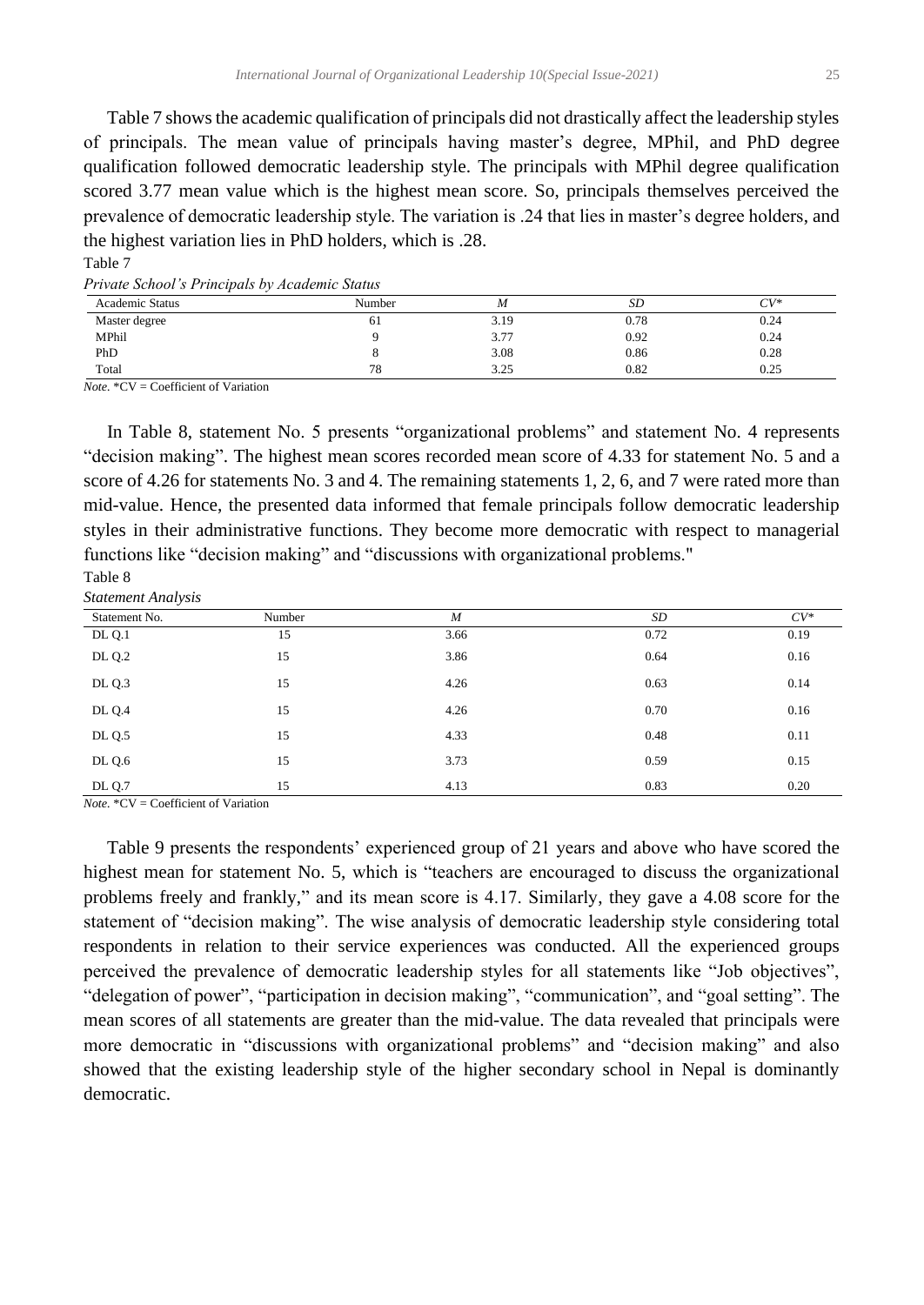Table 7 shows the academic qualification of principals did not drastically affect the leadership styles of principals. The mean value of principals having master's degree, MPhil, and PhD degree qualification followed democratic leadership style. The principals with MPhil degree qualification scored 3.77 mean value which is the highest mean score. So, principals themselves perceived the prevalence of democratic leadership style. The variation is .24 that lies in master's degree holders, and the highest variation lies in PhD holders, which is .28. Table 7

| Private School's Principals by Academic Status |  |  |  |  |  |
|------------------------------------------------|--|--|--|--|--|
|------------------------------------------------|--|--|--|--|--|

| I I FI WILD SOUTH STATE I FILL FOR WHICH STATE STRIVING<br><b>Academic Status</b> | Number | М    | SD   | $CV^*$ |
|-----------------------------------------------------------------------------------|--------|------|------|--------|
| Master degree                                                                     | ΟI     | 3.19 | 0.78 | 0.24   |
| MPhil                                                                             |        | 3.77 | 0.92 | 0.24   |
| PhD                                                                               |        | 3.08 | 0.86 | 0.28   |
| Total                                                                             | 78     | 3.25 | 0.82 | 0.25   |

*Note.* \*CV = Coefficient of Variation

 In Table 8, statement No. 5 presents "organizational problems" and statement No. 4 represents "decision making". The highest mean scores recorded mean score of 4.33 for statement No. 5 and a score of 4.26 for statements No. 3 and 4. The remaining statements 1, 2, 6, and 7 were rated more than mid-value. Hence, the presented data informed that female principals follow democratic leadership styles in their administrative functions. They become more democratic with respect to managerial functions like "decision making" and "discussions with organizational problems."  $T_{\rm 110}$ 

| lable 8            |  |
|--------------------|--|
| Statonant Andnoise |  |

| <i>Statement Analysis</i> |        |      |      |        |  |  |  |  |  |
|---------------------------|--------|------|------|--------|--|--|--|--|--|
| Statement No.             | Number | M    | SD   | $CV^*$ |  |  |  |  |  |
| <b>DL Q.1</b>             | 15     | 3.66 | 0.72 | 0.19   |  |  |  |  |  |
| <b>DL Q.2</b>             | 15     | 3.86 | 0.64 | 0.16   |  |  |  |  |  |
| DL Q.3                    | 15     | 4.26 | 0.63 | 0.14   |  |  |  |  |  |
| <b>DL Q.4</b>             | 15     | 4.26 | 0.70 | 0.16   |  |  |  |  |  |
| <b>DL Q.5</b>             | 15     | 4.33 | 0.48 | 0.11   |  |  |  |  |  |
| <b>DL Q.6</b>             | 15     | 3.73 | 0.59 | 0.15   |  |  |  |  |  |
| <b>DL Q.7</b>             | 15     | 4.13 | 0.83 | 0.20   |  |  |  |  |  |

*Note.* \*CV = Coefficient of Variation

 Table 9 presents the respondents' experienced group of 21 years and above who have scored the highest mean for statement No. 5, which is "teachers are encouraged to discuss the organizational problems freely and frankly," and its mean score is 4.17. Similarly, they gave a 4.08 score for the statement of "decision making". The wise analysis of democratic leadership style considering total respondents in relation to their service experiences was conducted. All the experienced groups perceived the prevalence of democratic leadership styles for all statements like "Job objectives", "delegation of power", "participation in decision making", "communication", and "goal setting". The mean scores of all statements are greater than the mid-value. The data revealed that principals were more democratic in "discussions with organizational problems" and "decision making" and also showed that the existing leadership style of the higher secondary school in Nepal is dominantly democratic.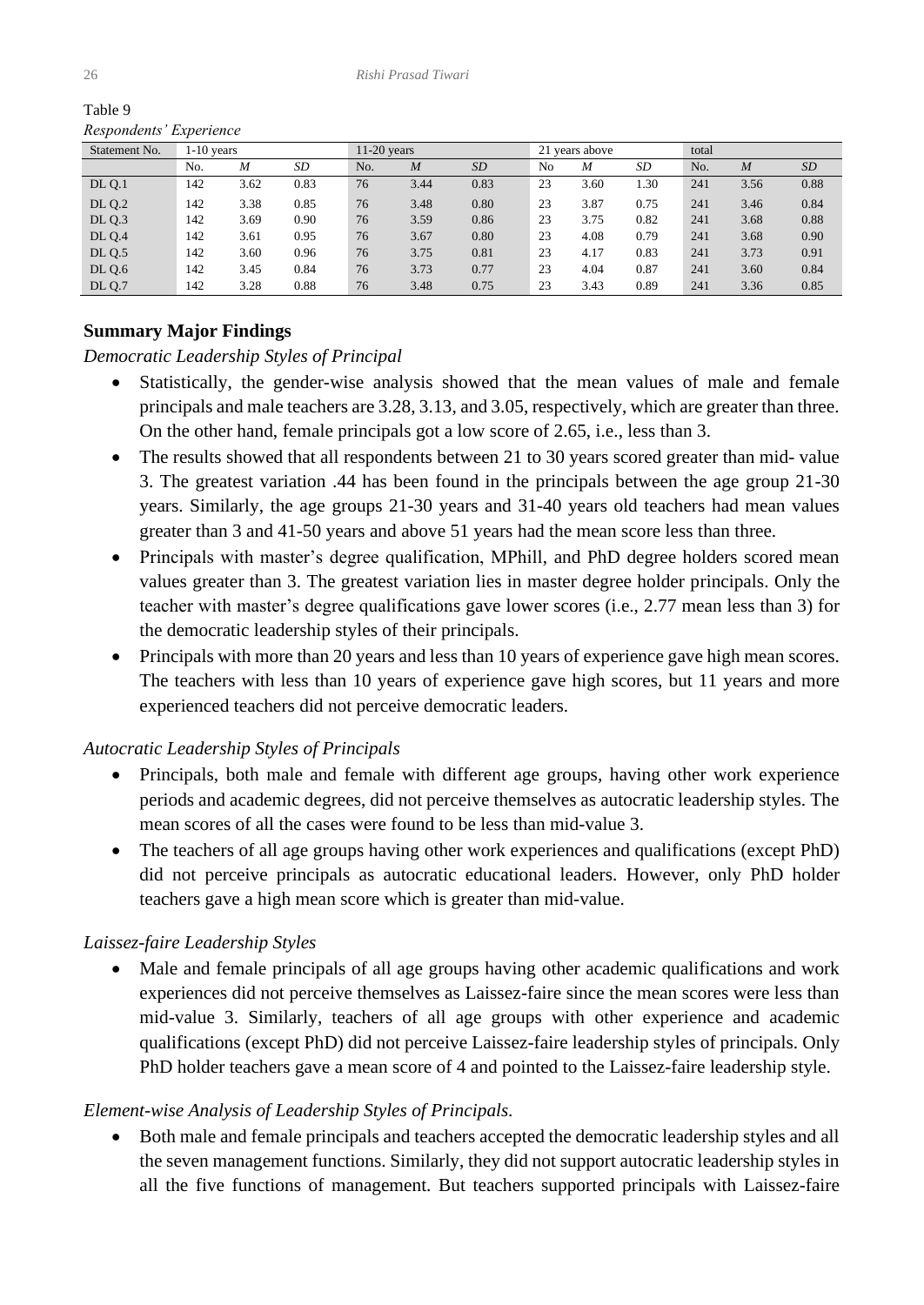| $\sim$        |              |      |      |     |               |      |    |                |      |     |                  |      |  |
|---------------|--------------|------|------|-----|---------------|------|----|----------------|------|-----|------------------|------|--|
| Statement No. | $1-10$ years |      |      |     | $11-20$ years |      |    | 21 years above |      |     | total            |      |  |
|               | No.          | M    | SD   | No. | M             | SD   | No | M              | SD   | No. | $\boldsymbol{M}$ | SD   |  |
| <b>DL Q.1</b> | 142          | 3.62 | 0.83 | 76  | 3.44          | 0.83 | 23 | 3.60           | 1.30 | 241 | 3.56             | 0.88 |  |
| DL Q.2        | 142          | 3.38 | 0.85 | 76  | 3.48          | 0.80 | 23 | 3.87           | 0.75 | 241 | 3.46             | 0.84 |  |
| DL Q.3        | 142          | 3.69 | 0.90 | 76  | 3.59          | 0.86 | 23 | 3.75           | 0.82 | 241 | 3.68             | 0.88 |  |
| DL Q.4        | 142          | 3.61 | 0.95 | 76  | 3.67          | 0.80 | 23 | 4.08           | 0.79 | 241 | 3.68             | 0.90 |  |
| <b>DL Q.5</b> | 142          | 3.60 | 0.96 | 76  | 3.75          | 0.81 | 23 | 4.17           | 0.83 | 241 | 3.73             | 0.91 |  |
| <b>DL Q.6</b> | 142          | 3.45 | 0.84 | 76  | 3.73          | 0.77 | 23 | 4.04           | 0.87 | 241 | 3.60             | 0.84 |  |
| <b>DL Q.7</b> | 142          | 3.28 | 0.88 | 76  | 3.48          | 0.75 | 23 | 3.43           | 0.89 | 241 | 3.36             | 0.85 |  |

Table 9 *Respondents' Experience* 

# **Summary Major Findings**

### *Democratic Leadership Styles of Principal*

- Statistically, the gender-wise analysis showed that the mean values of male and female principals and male teachers are 3.28, 3.13, and 3.05, respectively, which are greater than three. On the other hand, female principals got a low score of 2.65, i.e., less than 3.
- The results showed that all respondents between 21 to 30 years scored greater than mid- value 3. The greatest variation .44 has been found in the principals between the age group 21-30 years. Similarly, the age groups 21-30 years and 31-40 years old teachers had mean values greater than 3 and 41-50 years and above 51 years had the mean score less than three.
- Principals with master's degree qualification, MPhill, and PhD degree holders scored mean values greater than 3. The greatest variation lies in master degree holder principals. Only the teacher with master's degree qualifications gave lower scores (i.e., 2.77 mean less than 3) for the democratic leadership styles of their principals.
- Principals with more than 20 years and less than 10 years of experience gave high mean scores. The teachers with less than 10 years of experience gave high scores, but 11 years and more experienced teachers did not perceive democratic leaders.

# *Autocratic Leadership Styles of Principals*

- Principals, both male and female with different age groups, having other work experience periods and academic degrees, did not perceive themselves as autocratic leadership styles. The mean scores of all the cases were found to be less than mid-value 3.
- The teachers of all age groups having other work experiences and qualifications (except PhD) did not perceive principals as autocratic educational leaders. However, only PhD holder teachers gave a high mean score which is greater than mid-value.

# *Laissez-faire Leadership Styles*

• Male and female principals of all age groups having other academic qualifications and work experiences did not perceive themselves as Laissez-faire since the mean scores were less than mid-value 3. Similarly, teachers of all age groups with other experience and academic qualifications (except PhD) did not perceive Laissez-faire leadership styles of principals. Only PhD holder teachers gave a mean score of 4 and pointed to the Laissez-faire leadership style.

# *Element-wise Analysis of Leadership Styles of Principals.*

• Both male and female principals and teachers accepted the democratic leadership styles and all the seven management functions. Similarly, they did not support autocratic leadership styles in all the five functions of management. But teachers supported principals with Laissez-faire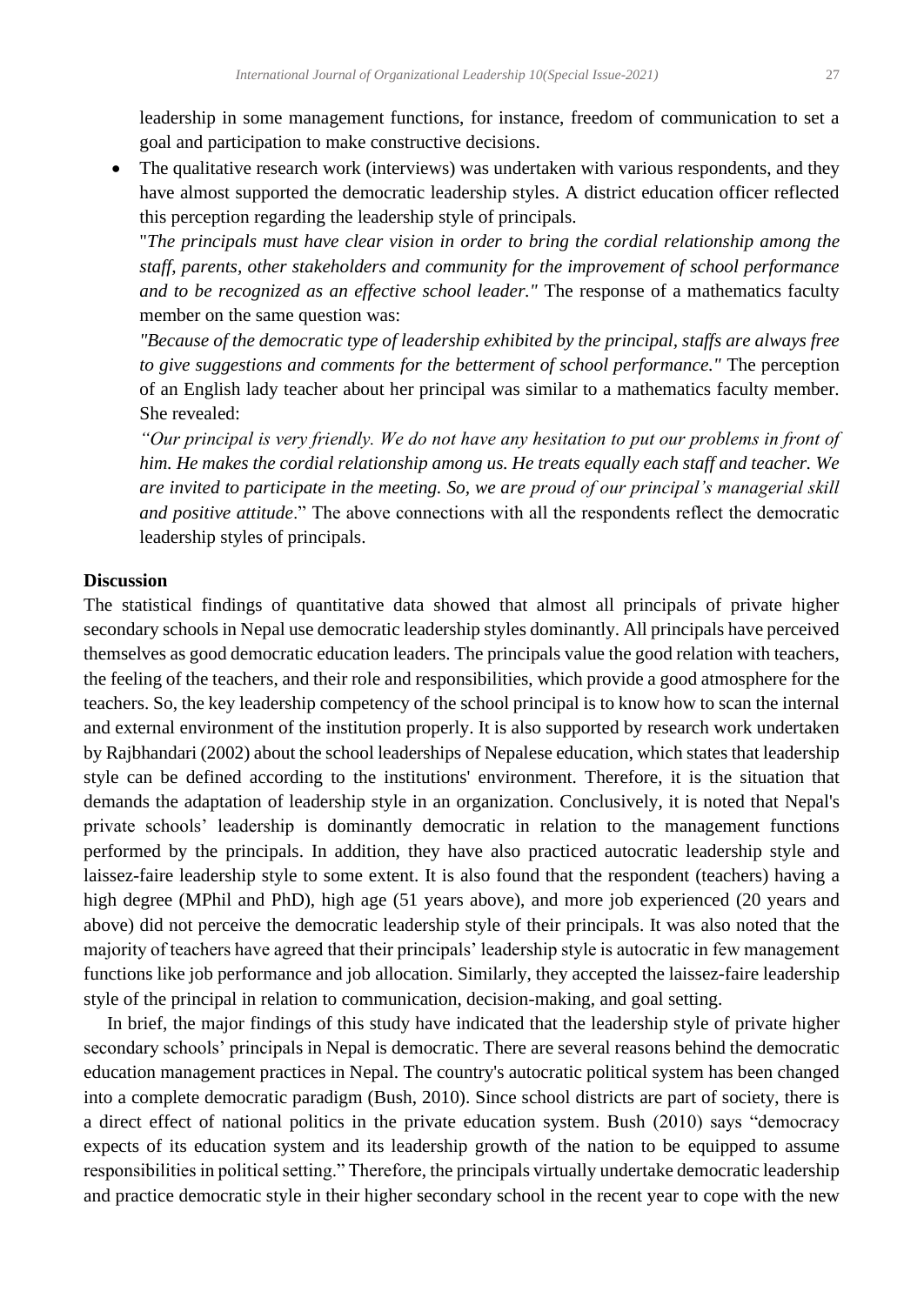leadership in some management functions, for instance, freedom of communication to set a goal and participation to make constructive decisions.

• The qualitative research work (interviews) was undertaken with various respondents, and they have almost supported the democratic leadership styles. A district education officer reflected this perception regarding the leadership style of principals.

"*The principals must have clear vision in order to bring the cordial relationship among the staff, parents, other stakeholders and community for the improvement of school performance and to be recognized as an effective school leader."* The response of a mathematics faculty member on the same question was:

*"Because of the democratic type of leadership exhibited by the principal, staffs are always free to give suggestions and comments for the betterment of school performance."* The perception of an English lady teacher about her principal was similar to a mathematics faculty member. She revealed:

*"Our principal is very friendly. We do not have any hesitation to put our problems in front of him. He makes the cordial relationship among us. He treats equally each staff and teacher. We are invited to participate in the meeting. So, we are proud of our principal's managerial skill and positive attitude*." The above connections with all the respondents reflect the democratic leadership styles of principals.

### **Discussion**

The statistical findings of quantitative data showed that almost all principals of private higher secondary schools in Nepal use democratic leadership styles dominantly. All principals have perceived themselves as good democratic education leaders. The principals value the good relation with teachers, the feeling of the teachers, and their role and responsibilities, which provide a good atmosphere for the teachers. So, the key leadership competency of the school principal is to know how to scan the internal and external environment of the institution properly. It is also supported by research work undertaken by Rajbhandari (2002) about the school leaderships of Nepalese education, which states that leadership style can be defined according to the institutions' environment. Therefore, it is the situation that demands the adaptation of leadership style in an organization. Conclusively, it is noted that Nepal's private schools' leadership is dominantly democratic in relation to the management functions performed by the principals. In addition, they have also practiced autocratic leadership style and laissez-faire leadership style to some extent. It is also found that the respondent (teachers) having a high degree (MPhil and PhD), high age (51 years above), and more job experienced (20 years and above) did not perceive the democratic leadership style of their principals. It was also noted that the majority of teachers have agreed that their principals' leadership style is autocratic in few management functions like job performance and job allocation. Similarly, they accepted the laissez-faire leadership style of the principal in relation to communication, decision-making, and goal setting.

 In brief, the major findings of this study have indicated that the leadership style of private higher secondary schools' principals in Nepal is democratic. There are several reasons behind the democratic education management practices in Nepal. The country's autocratic political system has been changed into a complete democratic paradigm (Bush, 2010). Since school districts are part of society, there is a direct effect of national politics in the private education system. Bush (2010) says "democracy expects of its education system and its leadership growth of the nation to be equipped to assume responsibilities in political setting." Therefore, the principals virtually undertake democratic leadership and practice democratic style in their higher secondary school in the recent year to cope with the new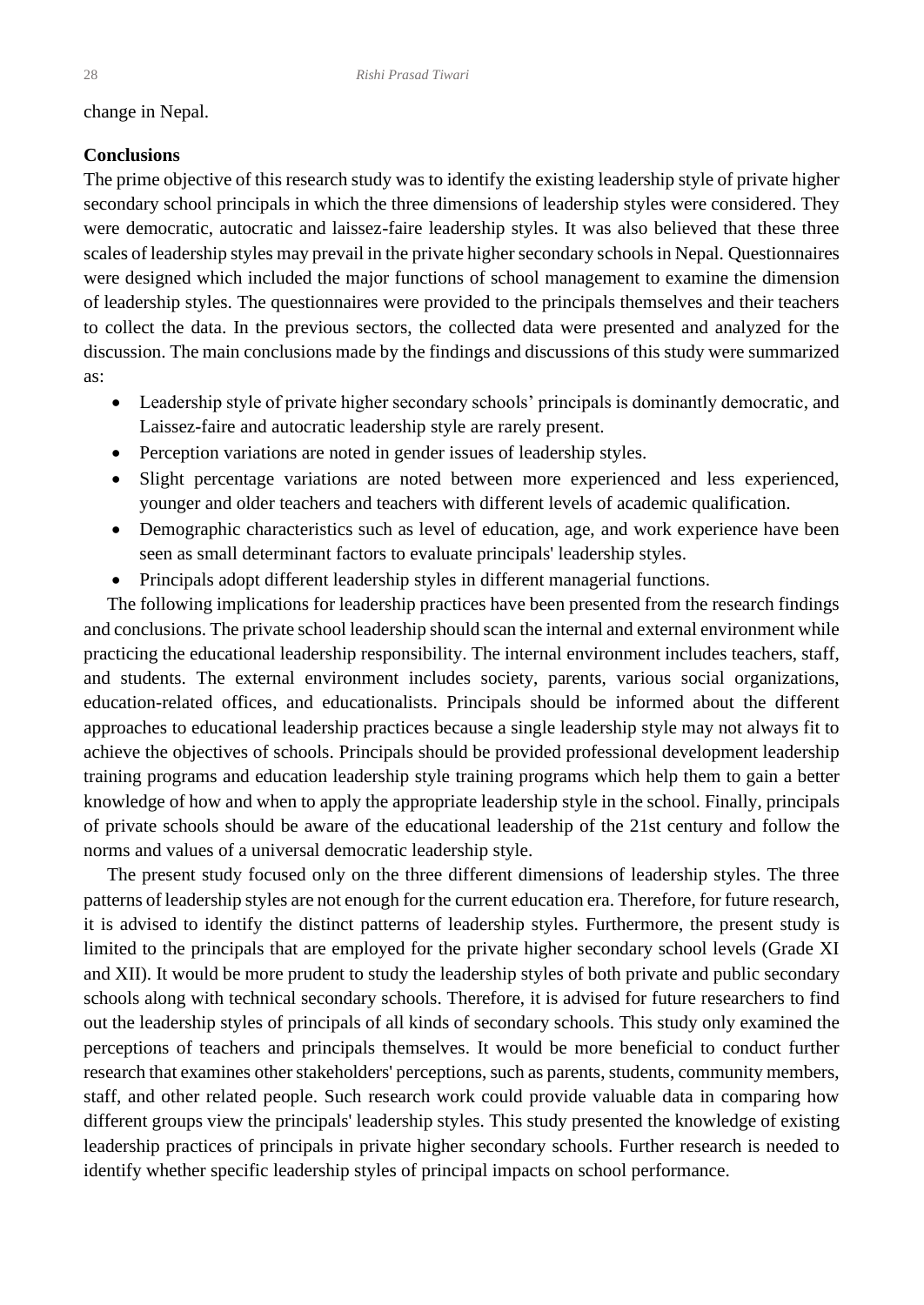### change in Nepal.

### **Conclusions**

The prime objective of this research study was to identify the existing leadership style of private higher secondary school principals in which the three dimensions of leadership styles were considered. They were democratic, autocratic and laissez-faire leadership styles. It was also believed that these three scales of leadership styles may prevail in the private higher secondary schools in Nepal. Questionnaires were designed which included the major functions of school management to examine the dimension of leadership styles. The questionnaires were provided to the principals themselves and their teachers to collect the data. In the previous sectors, the collected data were presented and analyzed for the discussion. The main conclusions made by the findings and discussions of this study were summarized as:

- Leadership style of private higher secondary schools' principals is dominantly democratic, and Laissez-faire and autocratic leadership style are rarely present.
- Perception variations are noted in gender issues of leadership styles.
- Slight percentage variations are noted between more experienced and less experienced, younger and older teachers and teachers with different levels of academic qualification.
- Demographic characteristics such as level of education, age, and work experience have been seen as small determinant factors to evaluate principals' leadership styles.
- Principals adopt different leadership styles in different managerial functions.

 The following implications for leadership practices have been presented from the research findings and conclusions. The private school leadership should scan the internal and external environment while practicing the educational leadership responsibility. The internal environment includes teachers, staff, and students. The external environment includes society, parents, various social organizations, education-related offices, and educationalists. Principals should be informed about the different approaches to educational leadership practices because a single leadership style may not always fit to achieve the objectives of schools. Principals should be provided professional development leadership training programs and education leadership style training programs which help them to gain a better knowledge of how and when to apply the appropriate leadership style in the school. Finally, principals of private schools should be aware of the educational leadership of the 21st century and follow the norms and values of a universal democratic leadership style.

 The present study focused only on the three different dimensions of leadership styles. The three patterns of leadership styles are not enough for the current education era. Therefore, for future research, it is advised to identify the distinct patterns of leadership styles. Furthermore, the present study is limited to the principals that are employed for the private higher secondary school levels (Grade XI and XII). It would be more prudent to study the leadership styles of both private and public secondary schools along with technical secondary schools. Therefore, it is advised for future researchers to find out the leadership styles of principals of all kinds of secondary schools. This study only examined the perceptions of teachers and principals themselves. It would be more beneficial to conduct further research that examines other stakeholders' perceptions, such as parents, students, community members, staff, and other related people. Such research work could provide valuable data in comparing how different groups view the principals' leadership styles. This study presented the knowledge of existing leadership practices of principals in private higher secondary schools. Further research is needed to identify whether specific leadership styles of principal impacts on school performance.